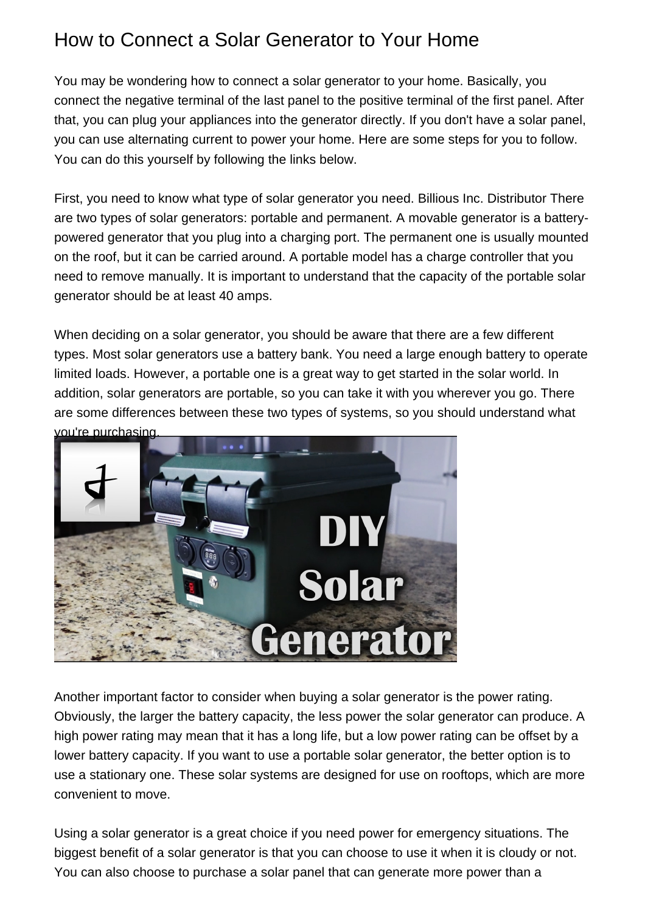## How to Connect a Solar Generator to Your Home

You may be wondering how to connect a solar generator to your home. Basically, you connect the negative terminal of the last panel to the positive terminal of the first panel. After that, you can plug your appliances into the generator directly. If you don't have a solar panel, you can use alternating current to power your home. Here are some steps for you to follow. You can do this yourself by following the links below.

First, you need to know what type of solar generator you need. [Billious Inc. Distributor](https://bitrebels.com/technology/people-kept-power-hurricane-irma/) There are two types of solar generators: portable and permanent. A movable generator is a batterypowered generator that you plug into a charging port. The permanent one is usually mounted on the roof, but it can be carried around. A portable model has a charge controller that you need to remove manually. It is important to understand that the capacity of the portable solar generator should be at least 40 amps.

When deciding on a solar generator, you should be aware that there are a few different types. Most solar generators use a battery bank. You need a large enough battery to operate limited loads. However, a portable one is a great way to get started in the solar world. In addition, solar generators are portable, so you can take it with you wherever you go. There are some differences between these two types of systems, so you should understand what you're purchasing.



Another important factor to consider when buying a solar generator is the power rating. Obviously, the larger the battery capacity, the less power the solar generator can produce. A high power rating may mean that it has a long life, but a low power rating can be offset by a lower battery capacity. If you want to use a portable solar generator, the better option is to use a stationary one. These solar systems are designed for use on rooftops, which are more convenient to move.

Using a solar generator is a great choice if you need power for emergency situations. The biggest benefit of a solar generator is that you can choose to use it when it is cloudy or not. You can also choose to purchase a solar panel that can generate more power than a